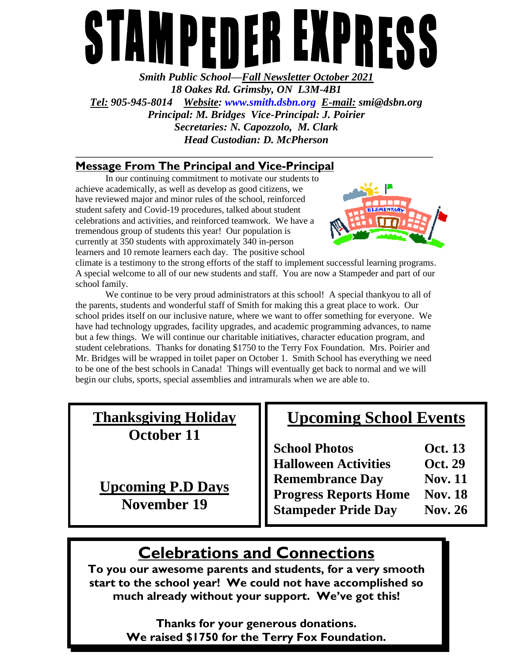# PEDEB EX N PRI Ù I

*Smith Public School—Fall Newsletter October 2021 18 Oakes Rd. Grimsby, ON L3M-4B1 Tel: 905-945-8014 Website: [www.smith.dsbn.org](http://www.smith.dsbn.org/) E-mail: smi@dsbn.org Principal: M. Bridges Vice-Principal: J. Poirier Secretaries: N. Capozzolo, M. Clark Head Custodian: D. McPherson* **\_\_\_\_\_\_\_\_\_\_\_\_\_\_\_\_\_\_\_\_\_\_\_\_\_\_\_\_\_\_\_\_\_\_\_\_\_\_\_\_\_\_\_\_\_\_\_\_\_\_\_\_\_\_\_\_\_\_\_\_\_**

### **Message From The Principal and Vice-Principal**

In our continuing commitment to motivate our students to achieve academically, as well as develop as good citizens, we have reviewed major and minor rules of the school, reinforced student safety and Covid-19 procedures, talked about student celebrations and activities, and reinforced teamwork. We have a tremendous group of students this year! Our population is currently at 350 students with approximately 340 in-person learners and 10 remote learners each day. The positive school



climate is a testimony to the strong efforts of the staff to implement successful learning programs. A special welcome to all of our new students and staff. You are now a Stampeder and part of our school family.

We continue to be very proud administrators at this school! A special thankyou to all of the parents, students and wonderful staff of Smith for making this a great place to work. Our school prides itself on our inclusive nature, where we want to offer something for everyone. We have had technology upgrades, facility upgrades, and academic programming advances, to name but a few things. We will continue our charitable initiatives, character education program, and student celebrations. Thanks for donating \$1750 to the Terry Fox Foundation. Mrs. Poirier and Mr. Bridges will be wrapped in toilet paper on October 1. Smith School has everything we need to be one of the best schools in Canada! Things will eventually get back to normal and we will begin our clubs, sports, special assemblies and intramurals when we are able to.

| <b>Thanksgiving Holiday</b><br>October 11      | <b>Upcoming School Events</b>                 |                |
|------------------------------------------------|-----------------------------------------------|----------------|
|                                                |                                               | <b>Oct.</b> 13 |
|                                                | <b>School Photos<br/>Halloween Activities</b> | Oct. 29        |
| <b>Upcoming P.D Days</b><br><b>November 19</b> | <b>Remembrance Day</b>                        | <b>Nov. 11</b> |
|                                                | <b>Progress Reports Home</b>                  | <b>Nov. 18</b> |
|                                                | <b>Stampeder Pride Day</b>                    | <b>Nov. 26</b> |

# **Celebrations and Connections**

**To you our awesome parents and students, for a very smooth start to the school year! We could not have accomplished so much already without your support. We've got this!**

> **Thanks for your generous donations. We raised \$1750 for the Terry Fox Foundation.**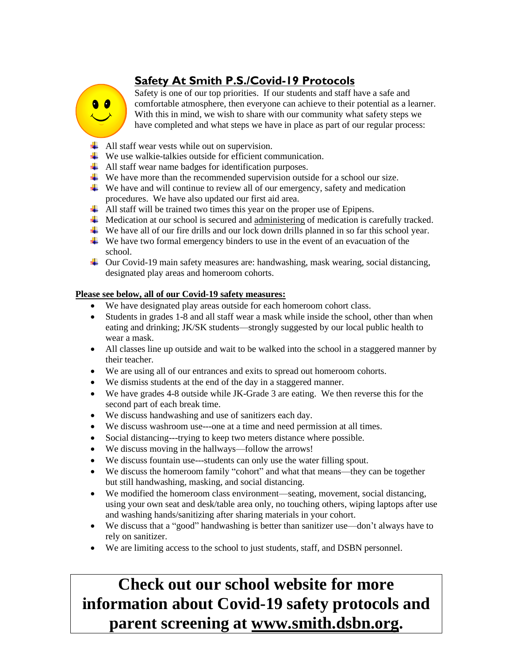## **Safety At Smith P.S./Covid-19 Protocols**

 $\bullet$   $\bullet$ 

Safety is one of our top priorities. If our students and staff have a safe and comfortable atmosphere, then everyone can achieve to their potential as a learner. With this in mind, we wish to share with our community what safety steps we have completed and what steps we have in place as part of our regular process:

- $\downarrow$  All staff wear vests while out on supervision.
- $\ddot{\bullet}$  We use walkie-talkies outside for efficient communication.
- All staff wear name badges for identification purposes.
- $\ddot{\bullet}$  We have more than the recommended supervision outside for a school our size.
- $\overline{\mathbf{u}}$  We have and will continue to review all of our emergency, safety and medication procedures. We have also updated our first aid area.
- All staff will be trained two times this year on the proper use of Epipens.
- **Medication at our school is secured and administering of medication is carefully tracked.**
- We have all of our fire drills and our lock down drills planned in so far this school year.
- $\overline{\mathbf{u}}$  We have two formal emergency binders to use in the event of an evacuation of the school.
- Our Covid-19 main safety measures are: handwashing, mask wearing, social distancing, designated play areas and homeroom cohorts.

#### **Please see below, all of our Covid-19 safety measures:**

- We have designated play areas outside for each homeroom cohort class.
- Students in grades 1-8 and all staff wear a mask while inside the school, other than when eating and drinking; JK/SK students—strongly suggested by our local public health to wear a mask.
- All classes line up outside and wait to be walked into the school in a staggered manner by their teacher.
- We are using all of our entrances and exits to spread out homeroom cohorts.
- We dismiss students at the end of the day in a staggered manner.
- We have grades 4-8 outside while JK-Grade 3 are eating. We then reverse this for the second part of each break time.
- We discuss handwashing and use of sanitizers each day.
- We discuss washroom use---one at a time and need permission at all times.
- Social distancing---trying to keep two meters distance where possible.
- We discuss moving in the hallways—follow the arrows!
- We discuss fountain use---students can only use the water filling spout.
- We discuss the homeroom family "cohort" and what that means—they can be together but still handwashing, masking, and social distancing.
- We modified the homeroom class environment—seating, movement, social distancing, using your own seat and desk/table area only, no touching others, wiping laptops after use and washing hands/sanitizing after sharing materials in your cohort.
- We discuss that a "good" handwashing is better than sanitizer use—don't always have to rely on sanitizer.
- We are limiting access to the school to just students, staff, and DSBN personnel.

# **Check out our school website for more information about Covid-19 safety protocols and parent screening at www.smith.dsbn.org.**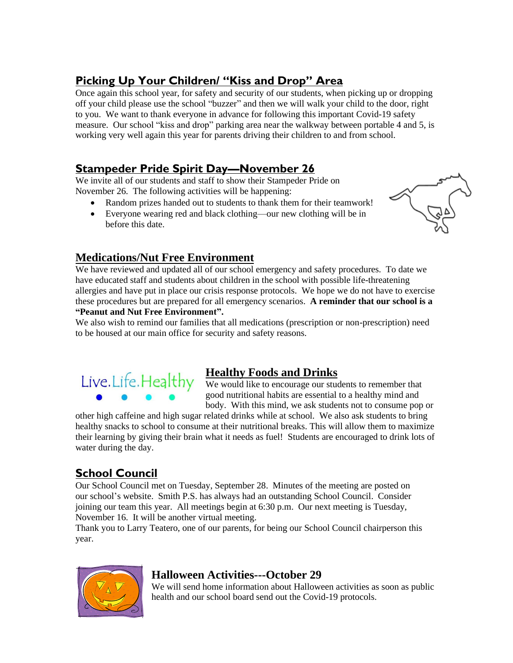### **Picking Up Your Children/ "Kiss and Drop" Area**

Once again this school year, for safety and security of our students, when picking up or dropping off your child please use the school "buzzer" and then we will walk your child to the door, right to you. We want to thank everyone in advance for following this important Covid-19 safety measure. Our school "kiss and drop" parking area near the walkway between portable 4 and 5, is working very well again this year for parents driving their children to and from school.

#### **Stampeder Pride Spirit Day—November 26**

We invite all of our students and staff to show their Stampeder Pride on November 26. The following activities will be happening:

- Random prizes handed out to students to thank them for their teamwork!
- Everyone wearing red and black clothing—our new clothing will be in before this date.



#### **Medications/Nut Free Environment**

We have reviewed and updated all of our school emergency and safety procedures. To date we have educated staff and students about children in the school with possible life-threatening allergies and have put in place our crisis response protocols. We hope we do not have to exercise these procedures but are prepared for all emergency scenarios. **A reminder that our school is a "Peanut and Nut Free Environment".**

We also wish to remind our families that all medications (prescription or non-prescription) need to be housed at our main office for security and safety reasons.



#### **Healthy Foods and Drinks**

We would like to encourage our students to remember that good nutritional habits are essential to a healthy mind and body. With this mind, we ask students not to consume pop or

other high caffeine and high sugar related drinks while at school. We also ask students to bring healthy snacks to school to consume at their nutritional breaks. This will allow them to maximize their learning by giving their brain what it needs as fuel! Students are encouraged to drink lots of water during the day.

### **School Council**

Our School Council met on Tuesday, September 28. Minutes of the meeting are posted on our school's website. Smith P.S. has always had an outstanding School Council. Consider joining our team this year. All meetings begin at 6:30 p.m. Our next meeting is Tuesday, November 16. It will be another virtual meeting.

Thank you to Larry Teatero, one of our parents, for being our School Council chairperson this year.



#### **Halloween Activities---October 29**

We will send home information about Halloween activities as soon as public health and our school board send out the Covid-19 protocols.